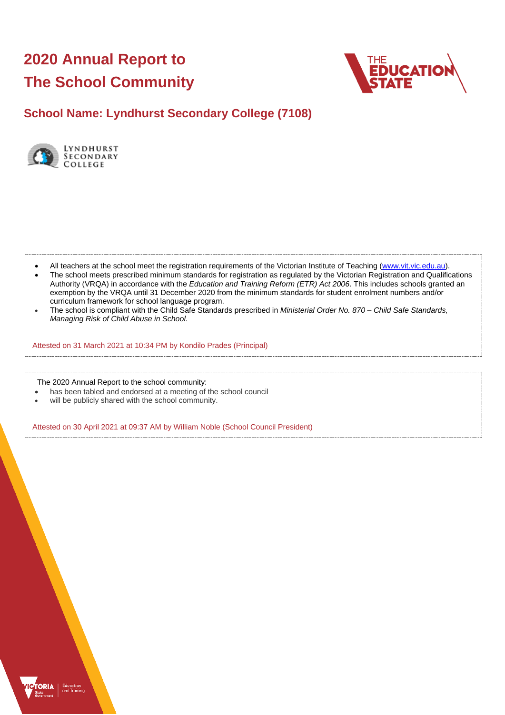# **2020 Annual Report to The School Community**



# **School Name: Lyndhurst Secondary College (7108)**



- All teachers at the school meet the registration requirements of the Victorian Institute of Teaching [\(www.vit.vic.edu.au\)](https://www.vit.vic.edu.au/).
- The school meets prescribed minimum standards for registration as regulated by the Victorian Registration and Qualifications Authority (VRQA) in accordance with the *Education and Training Reform (ETR) Act 2006*. This includes schools granted an exemption by the VRQA until 31 December 2020 from the minimum standards for student enrolment numbers and/or curriculum framework for school language program.
- The school is compliant with the Child Safe Standards prescribed in *Ministerial Order No. 870 – Child Safe Standards, Managing Risk of Child Abuse in School*.

Attested on 31 March 2021 at 10:34 PM by Kondilo Prades (Principal)

The 2020 Annual Report to the school community:

- has been tabled and endorsed at a meeting of the school council
- will be publicly shared with the school community.

Attested on 30 April 2021 at 09:37 AM by William Noble (School Council President)

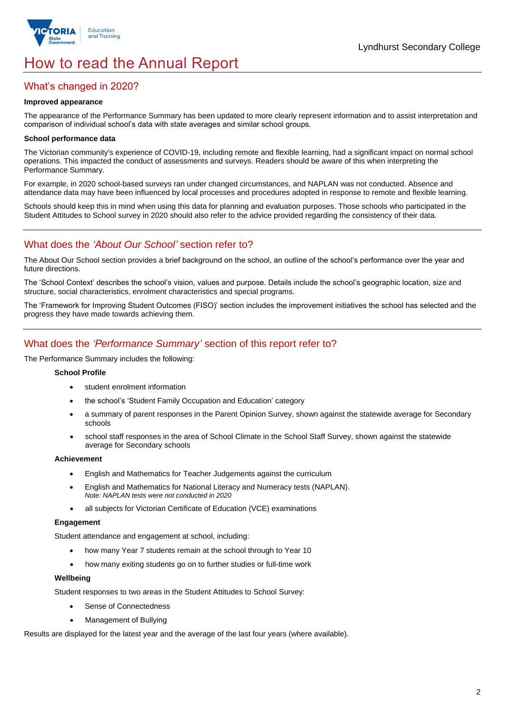

# How to read the Annual Report

## What's changed in 2020?

### **Improved appearance**

The appearance of the Performance Summary has been updated to more clearly represent information and to assist interpretation and comparison of individual school's data with state averages and similar school groups.

### **School performance data**

The Victorian community's experience of COVID-19, including remote and flexible learning, had a significant impact on normal school operations. This impacted the conduct of assessments and surveys. Readers should be aware of this when interpreting the Performance Summary.

For example, in 2020 school-based surveys ran under changed circumstances, and NAPLAN was not conducted. Absence and attendance data may have been influenced by local processes and procedures adopted in response to remote and flexible learning.

Schools should keep this in mind when using this data for planning and evaluation purposes. Those schools who participated in the Student Attitudes to School survey in 2020 should also refer to the advice provided regarding the consistency of their data.

## What does the *'About Our School'* section refer to?

The About Our School section provides a brief background on the school, an outline of the school's performance over the year and future directions.

The 'School Context' describes the school's vision, values and purpose. Details include the school's geographic location, size and structure, social characteristics, enrolment characteristics and special programs.

The 'Framework for Improving Student Outcomes (FISO)' section includes the improvement initiatives the school has selected and the progress they have made towards achieving them.

### What does the *'Performance Summary'* section of this report refer to?

The Performance Summary includes the following:

### **School Profile**

- student enrolment information
- the school's 'Student Family Occupation and Education' category
- a summary of parent responses in the Parent Opinion Survey, shown against the statewide average for Secondary schools
- school staff responses in the area of School Climate in the School Staff Survey, shown against the statewide average for Secondary schools

#### **Achievement**

- English and Mathematics for Teacher Judgements against the curriculum
- English and Mathematics for National Literacy and Numeracy tests (NAPLAN). *Note: NAPLAN tests were not conducted in 2020*
- all subjects for Victorian Certificate of Education (VCE) examinations

#### **Engagement**

Student attendance and engagement at school, including:

- how many Year 7 students remain at the school through to Year 10
- how many exiting students go on to further studies or full-time work

#### **Wellbeing**

Student responses to two areas in the Student Attitudes to School Survey:

- Sense of Connectedness
- Management of Bullying

Results are displayed for the latest year and the average of the last four years (where available).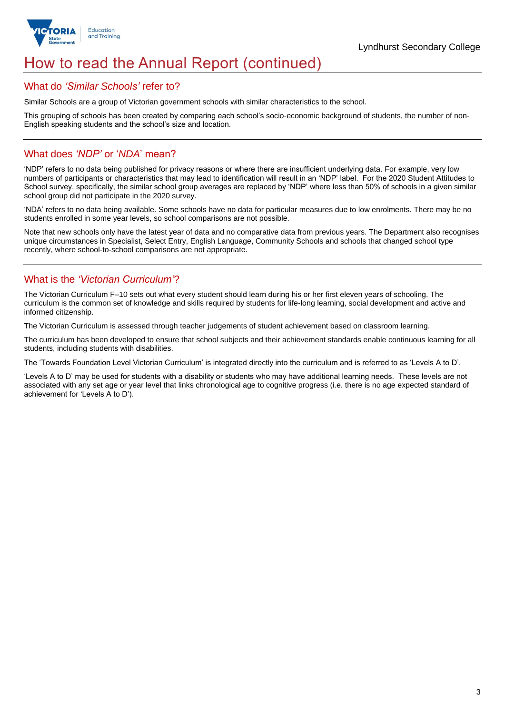

# How to read the Annual Report (continued)

### What do *'Similar Schools'* refer to?

Similar Schools are a group of Victorian government schools with similar characteristics to the school.

This grouping of schools has been created by comparing each school's socio-economic background of students, the number of non-English speaking students and the school's size and location.

### What does *'NDP'* or '*NDA*' mean?

'NDP' refers to no data being published for privacy reasons or where there are insufficient underlying data. For example, very low numbers of participants or characteristics that may lead to identification will result in an 'NDP' label. For the 2020 Student Attitudes to School survey, specifically, the similar school group averages are replaced by 'NDP' where less than 50% of schools in a given similar school group did not participate in the 2020 survey.

'NDA' refers to no data being available. Some schools have no data for particular measures due to low enrolments. There may be no students enrolled in some year levels, so school comparisons are not possible.

Note that new schools only have the latest year of data and no comparative data from previous years. The Department also recognises unique circumstances in Specialist, Select Entry, English Language, Community Schools and schools that changed school type recently, where school-to-school comparisons are not appropriate.

# What is the *'Victorian Curriculum'*?

The Victorian Curriculum F–10 sets out what every student should learn during his or her first eleven years of schooling. The curriculum is the common set of knowledge and skills required by students for life-long learning, social development and active and informed citizenship.

The Victorian Curriculum is assessed through teacher judgements of student achievement based on classroom learning.

The curriculum has been developed to ensure that school subjects and their achievement standards enable continuous learning for all students, including students with disabilities.

The 'Towards Foundation Level Victorian Curriculum' is integrated directly into the curriculum and is referred to as 'Levels A to D'.

'Levels A to D' may be used for students with a disability or students who may have additional learning needs. These levels are not associated with any set age or year level that links chronological age to cognitive progress (i.e. there is no age expected standard of achievement for 'Levels A to D').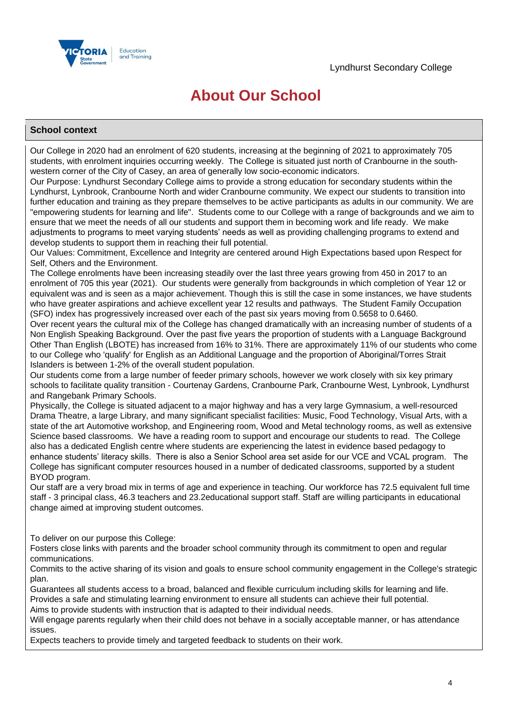

# **About Our School**

### **School context**

Our College in 2020 had an enrolment of 620 students, increasing at the beginning of 2021 to approximately 705 students, with enrolment inquiries occurring weekly. The College is situated just north of Cranbourne in the southwestern corner of the City of Casey, an area of generally low socio-economic indicators.

Our Purpose: Lyndhurst Secondary College aims to provide a strong education for secondary students within the Lyndhurst, Lynbrook, Cranbourne North and wider Cranbourne community. We expect our students to transition into further education and training as they prepare themselves to be active participants as adults in our community. We are "empowering students for learning and life". Students come to our College with a range of backgrounds and we aim to ensure that we meet the needs of all our students and support them in becoming work and life ready. We make adjustments to programs to meet varying students' needs as well as providing challenging programs to extend and develop students to support them in reaching their full potential.

Our Values: Commitment, Excellence and Integrity are centered around High Expectations based upon Respect for Self, Others and the Environment.

The College enrolments have been increasing steadily over the last three years growing from 450 in 2017 to an enrolment of 705 this year (2021). Our students were generally from backgrounds in which completion of Year 12 or equivalent was and is seen as a major achievement. Though this is still the case in some instances, we have students who have greater aspirations and achieve excellent year 12 results and pathways. The Student Family Occupation (SFO) index has progressively increased over each of the past six years moving from 0.5658 to 0.6460.

Over recent years the cultural mix of the College has changed dramatically with an increasing number of students of a Non English Speaking Background. Over the past five years the proportion of students with a Language Background Other Than English (LBOTE) has increased from 16% to 31%. There are approximately 11% of our students who come to our College who 'qualify' for English as an Additional Language and the proportion of Aboriginal/Torres Strait Islanders is between 1-2% of the overall student population.

Our students come from a large number of feeder primary schools, however we work closely with six key primary schools to facilitate quality transition - Courtenay Gardens, Cranbourne Park, Cranbourne West, Lynbrook, Lyndhurst and Rangebank Primary Schools.

Physically, the College is situated adjacent to a major highway and has a very large Gymnasium, a well-resourced Drama Theatre, a large Library, and many significant specialist facilities: Music, Food Technology, Visual Arts, with a state of the art Automotive workshop, and Engineering room, Wood and Metal technology rooms, as well as extensive Science based classrooms. We have a reading room to support and encourage our students to read. The College also has a dedicated English centre where students are experiencing the latest in evidence based pedagogy to enhance students' literacy skills. There is also a Senior School area set aside for our VCE and VCAL program. The College has significant computer resources housed in a number of dedicated classrooms, supported by a student BYOD program.

Our staff are a very broad mix in terms of age and experience in teaching. Our workforce has 72.5 equivalent full time staff - 3 principal class, 46.3 teachers and 23.2educational support staff. Staff are willing participants in educational change aimed at improving student outcomes.

To deliver on our purpose this College:

Fosters close links with parents and the broader school community through its commitment to open and regular communications.

Commits to the active sharing of its vision and goals to ensure school community engagement in the College's strategic plan.

Guarantees all students access to a broad, balanced and flexible curriculum including skills for learning and life. Provides a safe and stimulating learning environment to ensure all students can achieve their full potential. Aims to provide students with instruction that is adapted to their individual needs.

Will engage parents regularly when their child does not behave in a socially acceptable manner, or has attendance issues.

Expects teachers to provide timely and targeted feedback to students on their work.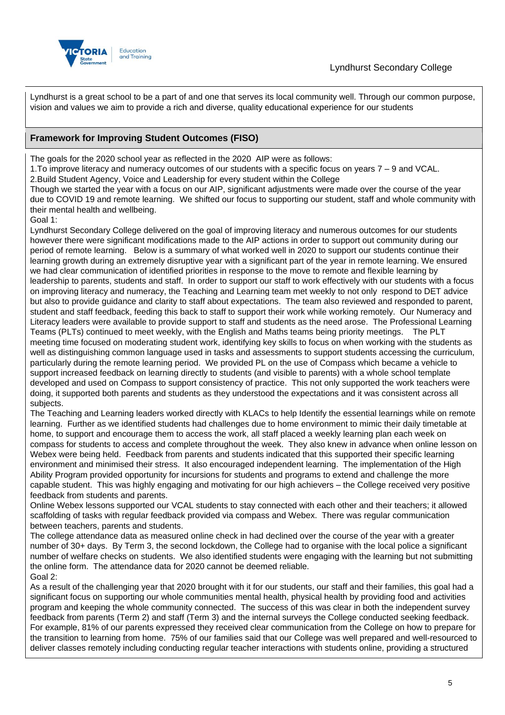



Lyndhurst is a great school to be a part of and one that serves its local community well. Through our common purpose, vision and values we aim to provide a rich and diverse, quality educational experience for our students

## **Framework for Improving Student Outcomes (FISO)**

The goals for the 2020 school year as reflected in the 2020 AIP were as follows:

1.To improve literacy and numeracy outcomes of our students with a specific focus on years 7 – 9 and VCAL.

2.Build Student Agency, Voice and Leadership for every student within the College

Though we started the year with a focus on our AIP, significant adjustments were made over the course of the year due to COVID 19 and remote learning. We shifted our focus to supporting our student, staff and whole community with their mental health and wellbeing.

Goal 1:

Lyndhurst Secondary College delivered on the goal of improving literacy and numerous outcomes for our students however there were significant modifications made to the AIP actions in order to support out community during our period of remote learning. Below is a summary of what worked well in 2020 to support our students continue their learning growth during an extremely disruptive year with a significant part of the year in remote learning. We ensured we had clear communication of identified priorities in response to the move to remote and flexible learning by leadership to parents, students and staff. In order to support our staff to work effectively with our students with a focus on improving literacy and numeracy, the Teaching and Learning team met weekly to not only respond to DET advice but also to provide guidance and clarity to staff about expectations. The team also reviewed and responded to parent, student and staff feedback, feeding this back to staff to support their work while working remotely. Our Numeracy and Literacy leaders were available to provide support to staff and students as the need arose. The Professional Learning Teams (PLTs) continued to meet weekly, with the English and Maths teams being priority meetings. The PLT meeting time focused on moderating student work, identifying key skills to focus on when working with the students as well as distinguishing common language used in tasks and assessments to support students accessing the curriculum, particularly during the remote learning period. We provided PL on the use of Compass which became a vehicle to support increased feedback on learning directly to students (and visible to parents) with a whole school template developed and used on Compass to support consistency of practice. This not only supported the work teachers were doing, it supported both parents and students as they understood the expectations and it was consistent across all subjects.

The Teaching and Learning leaders worked directly with KLACs to help Identify the essential learnings while on remote learning. Further as we identified students had challenges due to home environment to mimic their daily timetable at home, to support and encourage them to access the work, all staff placed a weekly learning plan each week on compass for students to access and complete throughout the week. They also knew in advance when online lesson on Webex were being held. Feedback from parents and students indicated that this supported their specific learning environment and minimised their stress. It also encouraged independent learning. The implementation of the High Ability Program provided opportunity for incursions for students and programs to extend and challenge the more capable student. This was highly engaging and motivating for our high achievers – the College received very positive feedback from students and parents.

Online Webex lessons supported our VCAL students to stay connected with each other and their teachers; it allowed scaffolding of tasks with regular feedback provided via compass and Webex. There was regular communication between teachers, parents and students.

The college attendance data as measured online check in had declined over the course of the year with a greater number of 30+ days. By Term 3, the second lockdown, the College had to organise with the local police a significant number of welfare checks on students. We also identified students were engaging with the learning but not submitting the online form. The attendance data for 2020 cannot be deemed reliable. Goal 2:

As a result of the challenging year that 2020 brought with it for our students, our staff and their families, this goal had a significant focus on supporting our whole communities mental health, physical health by providing food and activities program and keeping the whole community connected. The success of this was clear in both the independent survey feedback from parents (Term 2) and staff (Term 3) and the internal surveys the College conducted seeking feedback. For example, 81% of our parents expressed they received clear communication from the College on how to prepare for the transition to learning from home. 75% of our families said that our College was well prepared and well-resourced to deliver classes remotely including conducting regular teacher interactions with students online, providing a structured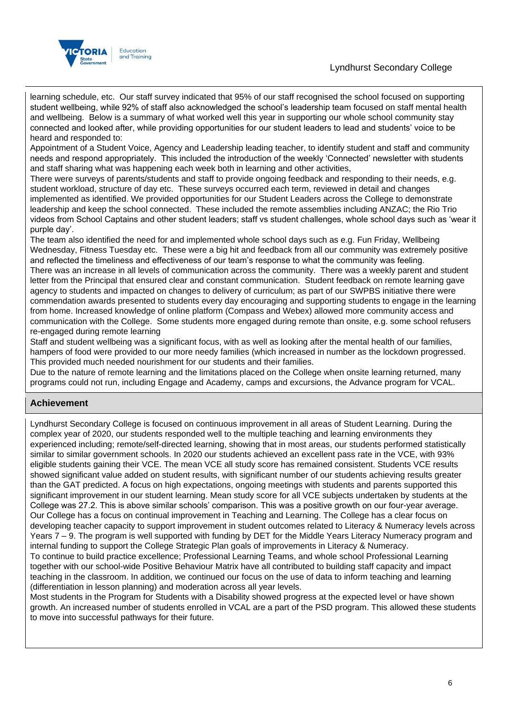## Lyndhurst Secondary College



learning schedule, etc. Our staff survey indicated that 95% of our staff recognised the school focused on supporting student wellbeing, while 92% of staff also acknowledged the school's leadership team focused on staff mental health and wellbeing. Below is a summary of what worked well this year in supporting our whole school community stay connected and looked after, while providing opportunities for our student leaders to lead and students' voice to be heard and responded to:

Appointment of a Student Voice, Agency and Leadership leading teacher, to identify student and staff and community needs and respond appropriately. This included the introduction of the weekly 'Connected' newsletter with students and staff sharing what was happening each week both in learning and other activities,

There were surveys of parents/students and staff to provide ongoing feedback and responding to their needs, e.g. student workload, structure of day etc. These surveys occurred each term, reviewed in detail and changes implemented as identified. We provided opportunities for our Student Leaders across the College to demonstrate leadership and keep the school connected. These included the remote assemblies including ANZAC; the Rio Trio videos from School Captains and other student leaders; staff vs student challenges, whole school days such as 'wear it purple day'.

The team also identified the need for and implemented whole school days such as e.g. Fun Friday, Wellbeing Wednesday, Fitness Tuesday etc. These were a big hit and feedback from all our community was extremely positive and reflected the timeliness and effectiveness of our team's response to what the community was feeling. There was an increase in all levels of communication across the community. There was a weekly parent and student letter from the Principal that ensured clear and constant communication. Student feedback on remote learning gave agency to students and impacted on changes to delivery of curriculum; as part of our SWPBS initiative there were commendation awards presented to students every day encouraging and supporting students to engage in the learning from home. Increased knowledge of online platform (Compass and Webex) allowed more community access and communication with the College. Some students more engaged during remote than onsite, e.g. some school refusers re-engaged during remote learning

Staff and student wellbeing was a significant focus, with as well as looking after the mental health of our families, hampers of food were provided to our more needy families (which increased in number as the lockdown progressed. This provided much needed nourishment for our students and their families.

Due to the nature of remote learning and the limitations placed on the College when onsite learning returned, many programs could not run, including Engage and Academy, camps and excursions, the Advance program for VCAL.

### **Achievement**

Lyndhurst Secondary College is focused on continuous improvement in all areas of Student Learning. During the complex year of 2020, our students responded well to the multiple teaching and learning environments they experienced including; remote/self-directed learning, showing that in most areas, our students performed statistically similar to similar government schools. In 2020 our students achieved an excellent pass rate in the VCE, with 93% eligible students gaining their VCE. The mean VCE all study score has remained consistent. Students VCE results showed significant value added on student results, with significant number of our students achieving results greater than the GAT predicted. A focus on high expectations, ongoing meetings with students and parents supported this significant improvement in our student learning. Mean study score for all VCE subjects undertaken by students at the College was 27.2. This is above similar schools' comparison. This was a positive growth on our four-year average. Our College has a focus on continual improvement in Teaching and Learning. The College has a clear focus on developing teacher capacity to support improvement in student outcomes related to Literacy & Numeracy levels across Years 7 – 9. The program is well supported with funding by DET for the Middle Years Literacy Numeracy program and internal funding to support the College Strategic Plan goals of improvements in Literacy & Numeracy.

To continue to build practice excellence; Professional Learning Teams, and whole school Professional Learning together with our school-wide Positive Behaviour Matrix have all contributed to building staff capacity and impact teaching in the classroom. In addition, we continued our focus on the use of data to inform teaching and learning (differentiation in lesson planning) and moderation across all year levels.

Most students in the Program for Students with a Disability showed progress at the expected level or have shown growth. An increased number of students enrolled in VCAL are a part of the PSD program. This allowed these students to move into successful pathways for their future.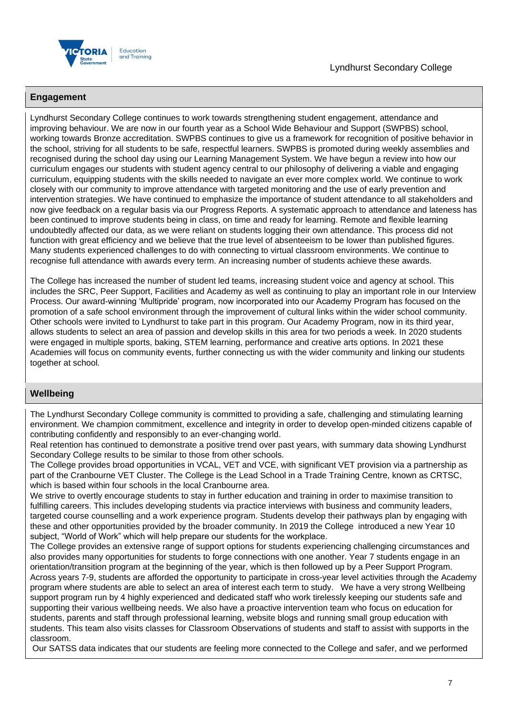

### **Engagement**

Lyndhurst Secondary College continues to work towards strengthening student engagement, attendance and improving behaviour. We are now in our fourth year as a School Wide Behaviour and Support (SWPBS) school, working towards Bronze accreditation. SWPBS continues to give us a framework for recognition of positive behavior in the school, striving for all students to be safe, respectful learners. SWPBS is promoted during weekly assemblies and recognised during the school day using our Learning Management System. We have begun a review into how our curriculum engages our students with student agency central to our philosophy of delivering a viable and engaging curriculum, equipping students with the skills needed to navigate an ever more complex world. We continue to work closely with our community to improve attendance with targeted monitoring and the use of early prevention and intervention strategies. We have continued to emphasize the importance of student attendance to all stakeholders and now give feedback on a regular basis via our Progress Reports. A systematic approach to attendance and lateness has been continued to improve students being in class, on time and ready for learning. Remote and flexible learning undoubtedly affected our data, as we were reliant on students logging their own attendance. This process did not function with great efficiency and we believe that the true level of absenteeism to be lower than published figures. Many students experienced challenges to do with connecting to virtual classroom environments. We continue to recognise full attendance with awards every term. An increasing number of students achieve these awards.

The College has increased the number of student led teams, increasing student voice and agency at school. This includes the SRC, Peer Support, Facilities and Academy as well as continuing to play an important role in our Interview Process. Our award-winning 'Multipride' program, now incorporated into our Academy Program has focused on the promotion of a safe school environment through the improvement of cultural links within the wider school community. Other schools were invited to Lyndhurst to take part in this program. Our Academy Program, now in its third year, allows students to select an area of passion and develop skills in this area for two periods a week. In 2020 students were engaged in multiple sports, baking, STEM learning, performance and creative arts options. In 2021 these Academies will focus on community events, further connecting us with the wider community and linking our students together at school.

### **Wellbeing**

The Lyndhurst Secondary College community is committed to providing a safe, challenging and stimulating learning environment. We champion commitment, excellence and integrity in order to develop open-minded citizens capable of contributing confidently and responsibly to an ever-changing world.

Real retention has continued to demonstrate a positive trend over past years, with summary data showing Lyndhurst Secondary College results to be similar to those from other schools.

The College provides broad opportunities in VCAL, VET and VCE, with significant VET provision via a partnership as part of the Cranbourne VET Cluster. The College is the Lead School in a Trade Training Centre, known as CRTSC, which is based within four schools in the local Cranbourne area.

We strive to overtly encourage students to stay in further education and training in order to maximise transition to fulfilling careers. This includes developing students via practice interviews with business and community leaders, targeted course counselling and a work experience program. Students develop their pathways plan by engaging with these and other opportunities provided by the broader community. In 2019 the College introduced a new Year 10 subject, "World of Work" which will help prepare our students for the workplace.

The College provides an extensive range of support options for students experiencing challenging circumstances and also provides many opportunities for students to forge connections with one another. Year 7 students engage in an orientation/transition program at the beginning of the year, which is then followed up by a Peer Support Program. Across years 7-9, students are afforded the opportunity to participate in cross-year level activities through the Academy program where students are able to select an area of interest each term to study. We have a very strong Wellbeing support program run by 4 highly experienced and dedicated staff who work tirelessly keeping our students safe and supporting their various wellbeing needs. We also have a proactive intervention team who focus on education for students, parents and staff through professional learning, website blogs and running small group education with students. This team also visits classes for Classroom Observations of students and staff to assist with supports in the classroom.

Our SATSS data indicates that our students are feeling more connected to the College and safer, and we performed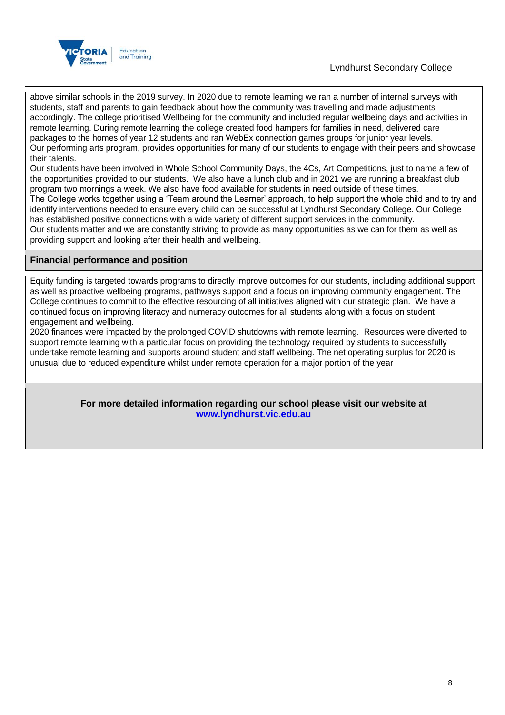

## Lyndhurst Secondary College

above similar schools in the 2019 survey. In 2020 due to remote learning we ran a number of internal surveys with students, staff and parents to gain feedback about how the community was travelling and made adjustments accordingly. The college prioritised Wellbeing for the community and included regular wellbeing days and activities in remote learning. During remote learning the college created food hampers for families in need, delivered care packages to the homes of year 12 students and ran WebEx connection games groups for junior year levels. Our performing arts program, provides opportunities for many of our students to engage with their peers and showcase their talents.

Our students have been involved in Whole School Community Days, the 4Cs, Art Competitions, just to name a few of the opportunities provided to our students. We also have a lunch club and in 2021 we are running a breakfast club program two mornings a week. We also have food available for students in need outside of these times.

The College works together using a 'Team around the Learner' approach, to help support the whole child and to try and identify interventions needed to ensure every child can be successful at Lyndhurst Secondary College. Our College has established positive connections with a wide variety of different support services in the community.

Our students matter and we are constantly striving to provide as many opportunities as we can for them as well as providing support and looking after their health and wellbeing.

### **Financial performance and position**

Equity funding is targeted towards programs to directly improve outcomes for our students, including additional support as well as proactive wellbeing programs, pathways support and a focus on improving community engagement. The College continues to commit to the effective resourcing of all initiatives aligned with our strategic plan. We have a continued focus on improving literacy and numeracy outcomes for all students along with a focus on student engagement and wellbeing.

2020 finances were impacted by the prolonged COVID shutdowns with remote learning. Resources were diverted to support remote learning with a particular focus on providing the technology required by students to successfully undertake remote learning and supports around student and staff wellbeing. The net operating surplus for 2020 is unusual due to reduced expenditure whilst under remote operation for a major portion of the year

> **For more detailed information regarding our school please visit our website at [www.lyndhurst.vic.edu.au](file:///C:/Users/02085474/AppData/Local/Temp/www.lyndhurst.vic.edu.au)**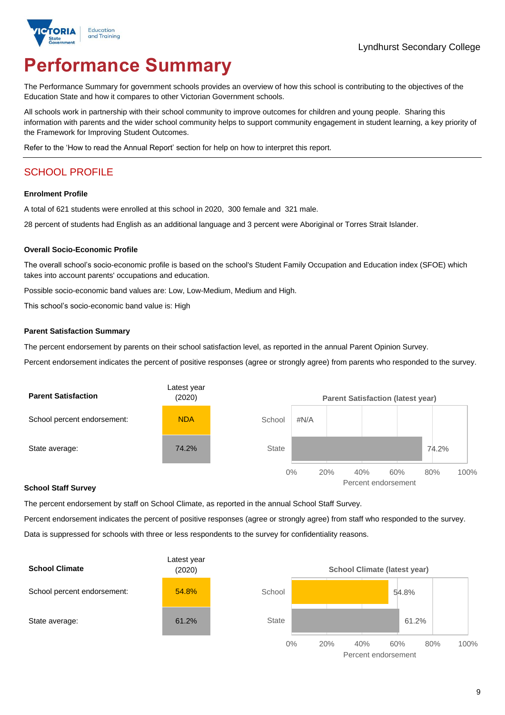

# **Performance Summary**

The Performance Summary for government schools provides an overview of how this school is contributing to the objectives of the Education State and how it compares to other Victorian Government schools.

All schools work in partnership with their school community to improve outcomes for children and young people. Sharing this information with parents and the wider school community helps to support community engagement in student learning, a key priority of the Framework for Improving Student Outcomes.

Refer to the 'How to read the Annual Report' section for help on how to interpret this report.

# SCHOOL PROFILE

#### **Enrolment Profile**

A total of 621 students were enrolled at this school in 2020, 300 female and 321 male.

28 percent of students had English as an additional language and 3 percent were Aboriginal or Torres Strait Islander.

#### **Overall Socio-Economic Profile**

The overall school's socio-economic profile is based on the school's Student Family Occupation and Education index (SFOE) which takes into account parents' occupations and education.

Possible socio-economic band values are: Low, Low-Medium, Medium and High.

This school's socio-economic band value is: High

#### **Parent Satisfaction Summary**

The percent endorsement by parents on their school satisfaction level, as reported in the annual Parent Opinion Survey.

Percent endorsement indicates the percent of positive responses (agree or strongly agree) from parents who responded to the survey.



#### **School Staff Survey**

The percent endorsement by staff on School Climate, as reported in the annual School Staff Survey.

Percent endorsement indicates the percent of positive responses (agree or strongly agree) from staff who responded to the survey. Data is suppressed for schools with three or less respondents to the survey for confidentiality reasons.



Percent endorsement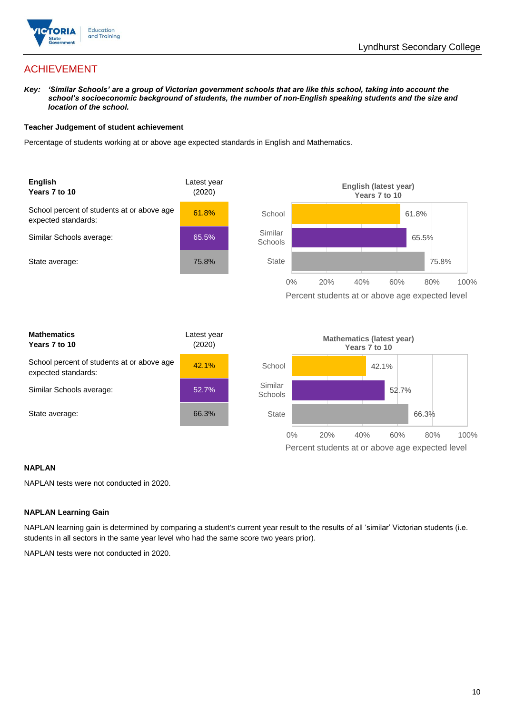

Percent students at or above age expected level

# ACHIEVEMENT

*Key: 'Similar Schools' are a group of Victorian government schools that are like this school, taking into account the*  school's socioeconomic background of students, the number of non-English speaking students and the size and *location of the school.*

### **Teacher Judgement of student achievement**

Percentage of students working at or above age expected standards in English and Mathematics.



### **NAPLAN**

NAPLAN tests were not conducted in 2020.

### **NAPLAN Learning Gain**

NAPLAN learning gain is determined by comparing a student's current year result to the results of all 'similar' Victorian students (i.e. students in all sectors in the same year level who had the same score two years prior).

NAPLAN tests were not conducted in 2020.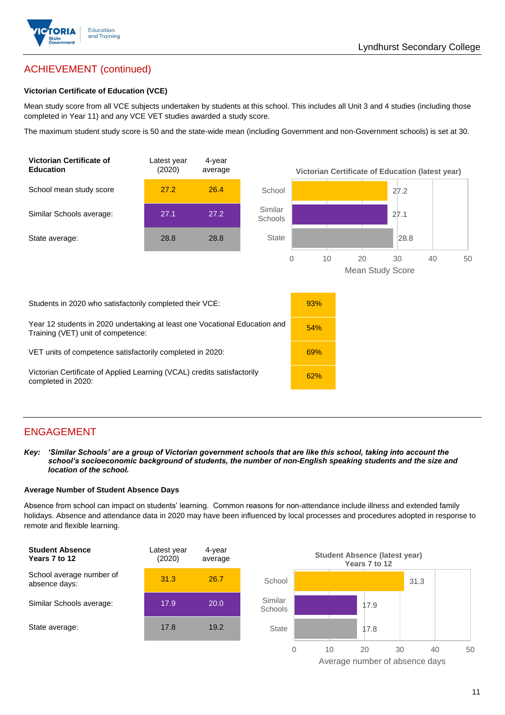

# ACHIEVEMENT (continued)

### **Victorian Certificate of Education (VCE)**

Mean study score from all VCE subjects undertaken by students at this school. This includes all Unit 3 and 4 studies (including those completed in Year 11) and any VCE VET studies awarded a study score.

The maximum student study score is 50 and the state-wide mean (including Government and non-Government schools) is set at 30.



# ENGAGEMENT

*Key: 'Similar Schools' are a group of Victorian government schools that are like this school, taking into account the school's socioeconomic background of students, the number of non-English speaking students and the size and location of the school.*

### **Average Number of Student Absence Days**

Absence from school can impact on students' learning. Common reasons for non-attendance include illness and extended family holidays. Absence and attendance data in 2020 may have been influenced by local processes and procedures adopted in response to remote and flexible learning.



Average number of absence days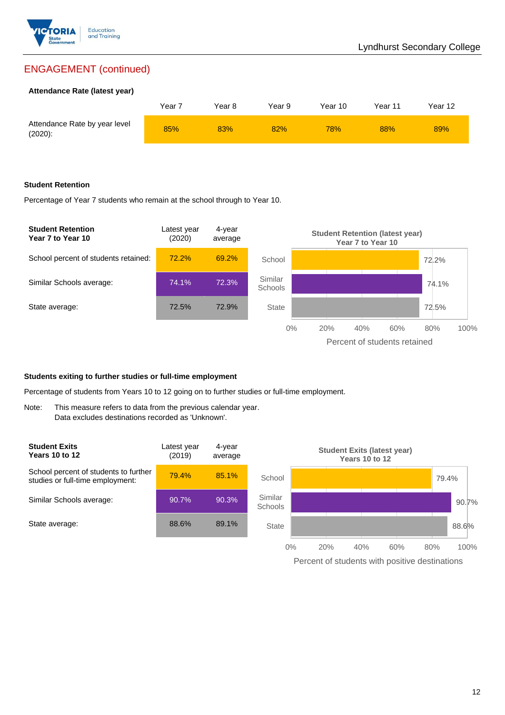

# ENGAGEMENT (continued)

### **Attendance Rate (latest year)**

|                                             | Year <sup>-</sup> | Year 8 | Year 9 | Year 10    | Year 11 | Year 12 |
|---------------------------------------------|-------------------|--------|--------|------------|---------|---------|
| Attendance Rate by year level<br>$(2020)$ : | 85%               | 83%    | 82%    | <b>78%</b> | 88%     | 89%     |

### **Student Retention**

Percentage of Year 7 students who remain at the school through to Year 10.



### **Students exiting to further studies or full-time employment**

Percentage of students from Years 10 to 12 going on to further studies or full-time employment.

Note: This measure refers to data from the previous calendar year. Data excludes destinations recorded as 'Unknown'.



Percent of students with positive destinations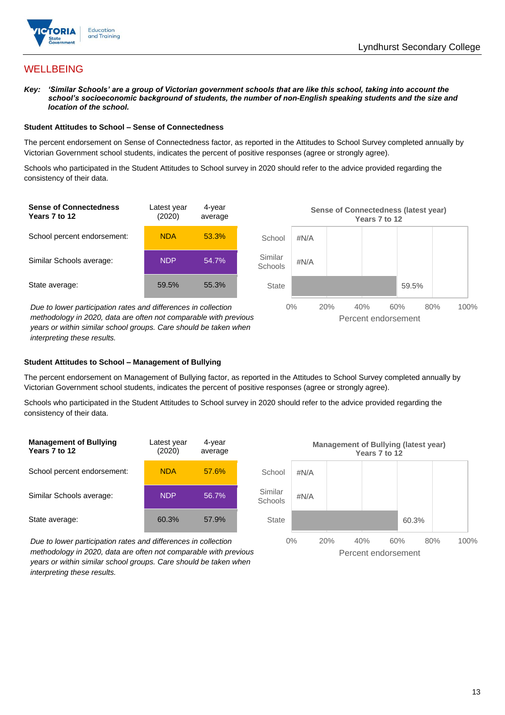

## **WELLBEING**

*Key: 'Similar Schools' are a group of Victorian government schools that are like this school, taking into account the*  school's socioeconomic background of students, the number of non-English speaking students and the size and *location of the school.*

#### **Student Attitudes to School – Sense of Connectedness**

The percent endorsement on Sense of Connectedness factor, as reported in the Attitudes to School Survey completed annually by Victorian Government school students, indicates the percent of positive responses (agree or strongly agree).

Schools who participated in the Student Attitudes to School survey in 2020 should refer to the advice provided regarding the consistency of their data.



*interpreting these results.*

### **Student Attitudes to School – Management of Bullying**

The percent endorsement on Management of Bullying factor, as reported in the Attitudes to School Survey completed annually by Victorian Government school students, indicates the percent of positive responses (agree or strongly agree).

Schools who participated in the Student Attitudes to School survey in 2020 should refer to the advice provided regarding the consistency of their data.



*Due to lower participation rates and differences in collection methodology in 2020, data are often not comparable with previous years or within similar school groups. Care should be taken when interpreting these results.*

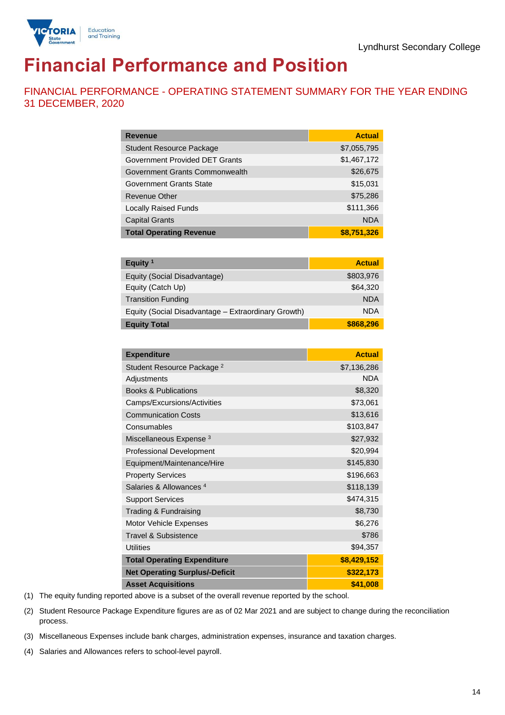

# **Financial Performance and Position**

FINANCIAL PERFORMANCE - OPERATING STATEMENT SUMMARY FOR THE YEAR ENDING 31 DECEMBER, 2020

| <b>Revenue</b>                  | <b>Actual</b> |
|---------------------------------|---------------|
| <b>Student Resource Package</b> | \$7,055,795   |
| Government Provided DET Grants  | \$1,467,172   |
| Government Grants Commonwealth  | \$26,675      |
| Government Grants State         | \$15,031      |
| <b>Revenue Other</b>            | \$75,286      |
| <b>Locally Raised Funds</b>     | \$111,366     |
| <b>Capital Grants</b>           | <b>NDA</b>    |
| <b>Total Operating Revenue</b>  | \$8,751,326   |

| Equity <sup>1</sup>                                 | <b>Actual</b> |
|-----------------------------------------------------|---------------|
| Equity (Social Disadvantage)                        | \$803,976     |
| Equity (Catch Up)                                   | \$64,320      |
| <b>Transition Funding</b>                           | <b>NDA</b>    |
| Equity (Social Disadvantage - Extraordinary Growth) | <b>NDA</b>    |
| <b>Equity Total</b>                                 | \$868,296     |

| <b>Expenditure</b>                    | <b>Actual</b> |
|---------------------------------------|---------------|
| Student Resource Package <sup>2</sup> | \$7,136,286   |
| Adjustments                           | <b>NDA</b>    |
| <b>Books &amp; Publications</b>       | \$8,320       |
| Camps/Excursions/Activities           | \$73,061      |
| <b>Communication Costs</b>            | \$13,616      |
| Consumables                           | \$103,847     |
| Miscellaneous Expense <sup>3</sup>    | \$27,932      |
| <b>Professional Development</b>       | \$20,994      |
| Equipment/Maintenance/Hire            | \$145,830     |
| <b>Property Services</b>              | \$196,663     |
| Salaries & Allowances <sup>4</sup>    | \$118,139     |
| <b>Support Services</b>               | \$474,315     |
| Trading & Fundraising                 | \$8,730       |
| Motor Vehicle Expenses                | \$6,276       |
| <b>Travel &amp; Subsistence</b>       | \$786         |
| <b>Utilities</b>                      | \$94,357      |
| <b>Total Operating Expenditure</b>    | \$8,429,152   |
| <b>Net Operating Surplus/-Deficit</b> | \$322,173     |
| <b>Asset Acquisitions</b>             | \$41,008      |

(1) The equity funding reported above is a subset of the overall revenue reported by the school.

(2) Student Resource Package Expenditure figures are as of 02 Mar 2021 and are subject to change during the reconciliation process.

(3) Miscellaneous Expenses include bank charges, administration expenses, insurance and taxation charges.

(4) Salaries and Allowances refers to school-level payroll.